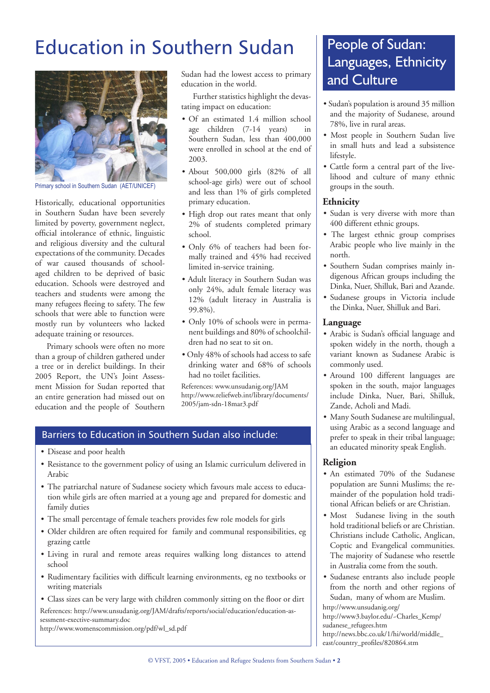# Education in Southern Sudan



Primary school in Southern Sudan (AET/UNICEF)

Historically, educational opportunities in Southern Sudan have been severely limited by poverty, government neglect, official intolerance of ethnic, linguistic and religious diversity and the cultural expectations of the community. Decades of war caused thousands of schoolaged children to be deprived of basic education. Schools were destroyed and teachers and students were among the many refugees fleeing to safety. The few schools that were able to function were mostly run by volunteers who lacked adequate training or resources.

Primary schools were often no more than a group of children gathered under a tree or in derelict buildings. In their 2005 Report, the UN's Joint Assessment Mission for Sudan reported that an entire generation had missed out on education and the people of Southern Sudan had the lowest access to primary education in the world.

Further statistics highlight the devastating impact on education:

- Of an estimated 1.4 million school age children (7-14 years) in Southern Sudan, less than 400,000 were enrolled in school at the end of 2003.
- About 500,000 girls (82% of all school-age girls) were out of school and less than 1% of girls completed primary education.
- High drop out rates meant that only 2% of students completed primary school.
- Only 6% of teachers had been formally trained and 45% had received limited in-service training.
- Adult literacy in Southern Sudan was only 24%, adult female literacy was 12% (adult literacy in Australia is 99.8%).
- Only 10% of schools were in permanent buildings and 80% of schoolchildren had no seat to sit on.
- Only 48% of schools had access to safe drinking water and 68% of schools had no toilet facilities.

References: www.unsudanig.org/JAM http://www.reliefweb.int/library/documents/ 2005/jam-sdn-18mar3.pdf

### Barriers to Education in Southern Sudan also include:

- Disease and poor health
- Resistance to the government policy of using an Islamic curriculum delivered in Arabic
- The patriarchal nature of Sudanese society which favours male access to education while girls are often married at a young age and prepared for domestic and family duties
- The small percentage of female teachers provides few role models for girls
- Older children are often required for family and communal responsibilities, eg grazing cattle
- Living in rural and remote areas requires walking long distances to attend school
- Rudimentary facilities with difficult learning environments, eg no textbooks or writing materials
- Class sizes can be very large with children commonly sitting on the floor or dirt References: http://www.unsudanig.org/JAM/drafts/reports/social/education/education-assessment-exective-summary.doc

http://www.womenscommission.org/pdf/wl\_sd.pdf

# People of Sudan: Languages, Ethnicity and Culture

- Sudan's population is around 35 million and the majority of Sudanese, around 78%, live in rural areas.
- Most people in Southern Sudan live in small huts and lead a subsistence lifestyle.
- Cattle form a central part of the livelihood and culture of many ethnic groups in the south.

### **Ethnicity**

- Sudan is very diverse with more than 400 different ethnic groups.
- The largest ethnic group comprises Arabic people who live mainly in the north.
- Southern Sudan comprises mainly indigenous African groups including the Dinka, Nuer, Shilluk, Bari and Azande.
- Sudanese groups in Victoria include the Dinka, Nuer, Shilluk and Bari.

#### **Language**

- Arabic is Sudan's official language and spoken widely in the north, though a variant known as Sudanese Arabic is commonly used.
- Around 100 different languages are spoken in the south, major languages include Dinka, Nuer, Bari, Shilluk, Zande, Acholi and Madi.
- Many South Sudanese are multilingual, using Arabic as a second language and prefer to speak in their tribal language; an educated minority speak English.

### **Religion**

- An estimated 70% of the Sudanese population are Sunni Muslims; the remainder of the population hold traditional African beliefs or are Christian.
- Most Sudanese living in the south hold traditional beliefs or are Christian. Christians include Catholic, Anglican, Coptic and Evangelical communities. The majority of Sudanese who resettle in Australia come from the south.
- Sudanese entrants also include people from the north and other regions of Sudan, many of whom are Muslim.

http://www.unsudanig.org/

http://www3.baylor.edu/~Charles\_Kemp/ sudanese\_refugees.htm http://news.bbc.co.uk/1/hi/world/middle\_

east/country\_profiles/820864.stm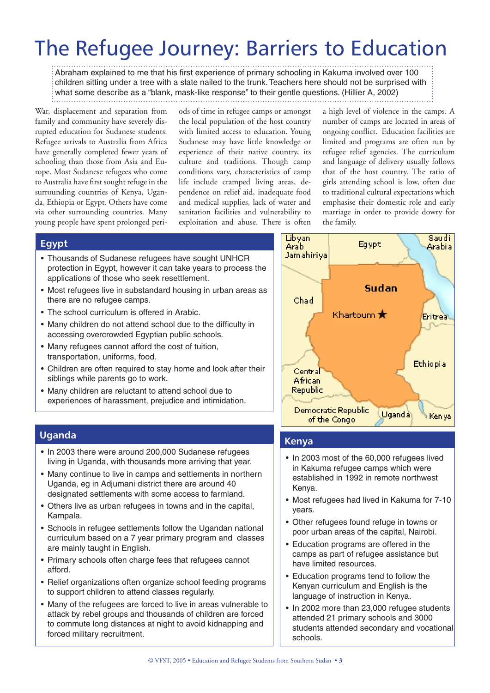# The Refugee Journey: Barriers to Education

Abraham explained to me that his first experience of primary schooling in Kakuma involved over 100 children sitting under a tree with a slate nailed to the trunk. Teachers here should not be surprised with what some describe as a "blank, mask-like response" to their gentle questions. (Hillier A, 2002)

War, displacement and separation from family and community have severely disrupted education for Sudanese students. Refugee arrivals to Australia from Africa have generally completed fewer years of schooling than those from Asia and Europe. Most Sudanese refugees who come to Australia have first sought refuge in the surrounding countries of Kenya, Uganda, Ethiopia or Egypt. Others have come via other surrounding countries. Many young people have spent prolonged peri-

ods of time in refugee camps or amongst the local population of the host country with limited access to education. Young Sudanese may have little knowledge or experience of their native country, its culture and traditions. Though camp conditions vary, characteristics of camp life include cramped living areas, dependence on relief aid, inadequate food and medical supplies, lack of water and sanitation facilities and vulnerability to exploitation and abuse. There is often

a high level of violence in the camps. A number of camps are located in areas of ongoing conflict. Education facilities are limited and programs are often run by refugee relief agencies. The curriculum and language of delivery usually follows that of the host country. The ratio of girls attending school is low, often due to traditional cultural expectations which emphasise their domestic role and early marriage in order to provide dowry for the family.

### **Egypt**

- Thousands of Sudanese refugees have sought UNHCR protection in Egypt, however it can take years to process the applications of those who seek resettlement.
- Most refugees live in substandard housing in urban areas as there are no refugee camps.
- The school curriculum is offered in Arabic.
- Many children do not attend school due to the difficulty in accessing overcrowded Egyptian public schools.
- Many refugees cannot afford the cost of tuition, transportation, uniforms, food.
- Children are often required to stay home and look after their siblings while parents go to work.
- Many children are reluctant to attend school due to experiences of harassment, prejudice and intimidation.

### **Uganda**

- In 2003 there were around 200,000 Sudanese refugees living in Uganda, with thousands more arriving that year.
- Many continue to live in camps and settlements in northern Uganda, eg in Adjumani district there are around 40 designated settlements with some access to farmland.
- Others live as urban refugees in towns and in the capital, Kampala.
- Schools in refugee settlements follow the Ugandan national curriculum based on a 7 year primary program and classes are mainly taught in English.
- Primary schools often charge fees that refugees cannot afford.
- Relief organizations often organize school feeding programs to support children to attend classes regularly.
- Many of the refugees are forced to live in areas vulnerable to attack by rebel groups and thousands of children are forced to commute long distances at night to avoid kidnapping and forced military recruitment.



### **Kenya**

- In 2003 most of the 60,000 refugees lived in Kakuma refugee camps which were established in 1992 in remote northwest Kenya.
- Most refugees had lived in Kakuma for 7-10 years.
- Other refugees found refuge in towns or poor urban areas of the capital, Nairobi.
- Education programs are offered in the camps as part of refugee assistance but have limited resources.
- Education programs tend to follow the Kenyan curriculum and English is the language of instruction in Kenya.
- In 2002 more than 23,000 refugee students attended 21 primary schools and 3000 students attended secondary and vocational schools.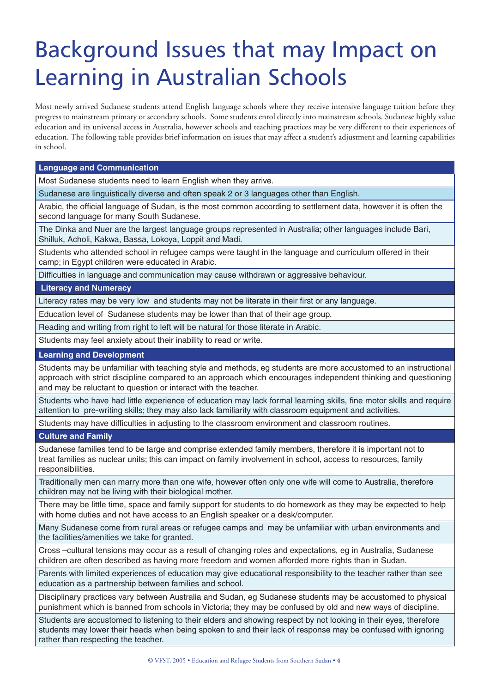# Background Issues that may Impact on Learning in Australian Schools

Most newly arrived Sudanese students attend English language schools where they receive intensive language tuition before they progress to mainstream primary or secondary schools. Some students enrol directly into mainstream schools. Sudanese highly value education and its universal access in Australia, however schools and teaching practices may be very different to their experiences of education. The following table provides brief information on issues that may affect a student's adjustment and learning capabilities in school.

**Language and Communication**

Most Sudanese students need to learn English when they arrive.

Sudanese are linguistically diverse and often speak 2 or 3 languages other than English.

Arabic, the official language of Sudan, is the most common according to settlement data, however it is often the second language for many South Sudanese.

The Dinka and Nuer are the largest language groups represented in Australia; other languages include Bari, Shilluk, Acholi, Kakwa, Bassa, Lokoya, Loppit and Madi.

Students who attended school in refugee camps were taught in the language and curriculum offered in their camp; in Egypt children were educated in Arabic.

Difficulties in language and communication may cause withdrawn or aggressive behaviour.

 **Literacy and Numeracy**

Literacy rates may be very low and students may not be literate in their first or any language.

Education level of Sudanese students may be lower than that of their age group.

Reading and writing from right to left will be natural for those literate in Arabic.

Students may feel anxiety about their inability to read or write.

#### **Learning and Development**

Students may be unfamiliar with teaching style and methods, eg students are more accustomed to an instructional approach with strict discipline compared to an approach which encourages independent thinking and questioning and may be reluctant to question or interact with the teacher.

Students who have had little experience of education may lack formal learning skills, fine motor skills and require attention to pre-writing skills; they may also lack familiarity with classroom equipment and activities.

Students may have difficulties in adjusting to the classroom environment and classroom routines.

#### **Culture and Family**

Sudanese families tend to be large and comprise extended family members, therefore it is important not to treat families as nuclear units; this can impact on family involvement in school, access to resources, family responsibilities.

Traditionally men can marry more than one wife, however often only one wife will come to Australia, therefore children may not be living with their biological mother.

There may be little time, space and family support for students to do homework as they may be expected to help with home duties and not have access to an English speaker or a desk/computer.

Many Sudanese come from rural areas or refugee camps and may be unfamiliar with urban environments and the facilities/amenities we take for granted.

Cross –cultural tensions may occur as a result of changing roles and expectations, eg in Australia, Sudanese children are often described as having more freedom and women afforded more rights than in Sudan.

Parents with limited experiences of education may give educational responsibility to the teacher rather than see education as a partnership between families and school.

Disciplinary practices vary between Australia and Sudan, eg Sudanese students may be accustomed to physical punishment which is banned from schools in Victoria; they may be confused by old and new ways of discipline.

Students are accustomed to listening to their elders and showing respect by not looking in their eyes, therefore students may lower their heads when being spoken to and their lack of response may be confused with ignoring rather than respecting the teacher.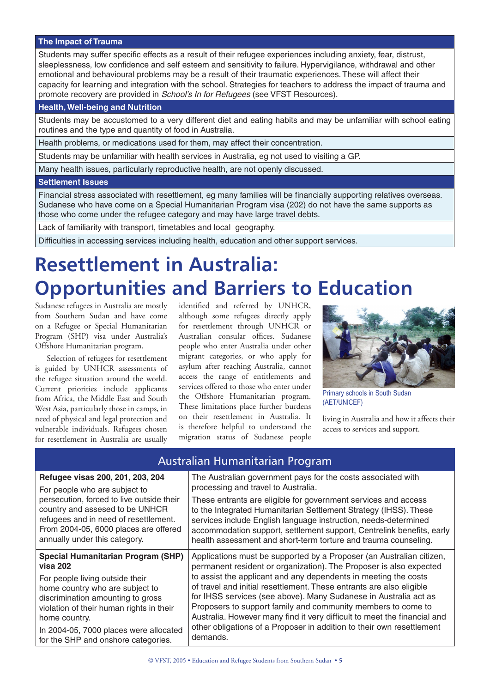#### **The Impact of Trauma**

Students may suffer specific effects as a result of their refugee experiences including anxiety, fear, distrust, sleeplessness, low confidence and self esteem and sensitivity to failure. Hypervigilance, withdrawal and other emotional and behavioural problems may be a result of their traumatic experiences. These will affect their capacity for learning and integration with the school. Strategies for teachers to address the impact of trauma and promote recovery are provided in School's In for Refugees (see VFST Resources).

### **Health, Well-being and Nutrition**

Students may be accustomed to a very different diet and eating habits and may be unfamiliar with school eating routines and the type and quantity of food in Australia.

Health problems, or medications used for them, may affect their concentration.

Students may be unfamiliar with health services in Australia, eg not used to visiting a GP.

Many health issues, particularly reproductive health, are not openly discussed.

#### **Settlement Issues**

Financial stress associated with resettlement, eg many families will be financially supporting relatives overseas. Sudanese who have come on a Special Humanitarian Program visa (202) do not have the same supports as those who come under the refugee category and may have large travel debts.

Lack of familiarity with transport, timetables and local geography.

Difficulties in accessing services including health, education and other support services.

# **Resettlement in Australia: Opportunities and Barriers to Education**

Sudanese refugees in Australia are mostly from Southern Sudan and have come on a Refugee or Special Humanitarian Program (SHP) visa under Australia's Offshore Humanitarian program.

Selection of refugees for resettlement is guided by UNHCR assessments of the refugee situation around the world. Current priorities include applicants from Africa, the Middle East and South West Asia, particularly those in camps, in need of physical and legal protection and vulnerable individuals. Refugees chosen for resettlement in Australia are usually

identified and referred by UNHCR, although some refugees directly apply for resettlement through UNHCR or Australian consular offices. Sudanese people who enter Australia under other migrant categories, or who apply for asylum after reaching Australia, cannot access the range of entitlements and services offered to those who enter under the Offshore Humanitarian program. These limitations place further burdens on their resettlement in Australia. It is therefore helpful to understand the migration status of Sudanese people



Primary schools in South Sudan (AET/UNICEF)

living in Australia and how it affects their access to services and support.

## Australian Humanitarian Program

| Refugee visas 200, 201, 203, 204          | The Australian government pays for the costs associated with             |
|-------------------------------------------|--------------------------------------------------------------------------|
| For people who are subject to             | processing and travel to Australia.                                      |
| persecution, forced to live outside their | These entrants are eligible for government services and access           |
| country and assesed to be UNHCR           | to the Integrated Humanitarian Settlement Strategy (IHSS). These         |
| refugees and in need of resettlement.     | services include English language instruction, needs-determined          |
| From 2004-05, 6000 places are offered     | accommodation support, settlement support, Centrelink benefits, early    |
| annually under this category.             | health assessment and short-term torture and trauma counseling.          |
| <b>Special Humanitarian Program (SHP)</b> | Applications must be supported by a Proposer (an Australian citizen,     |
| <b>visa 202</b>                           | permanent resident or organization). The Proposer is also expected       |
| For people living outside their           | to assist the applicant and any dependents in meeting the costs          |
| home country who are subject to           | of travel and initial resettlement. These entrants are also eligible     |
| discrimination amounting to gross         | for IHSS services (see above). Many Sudanese in Australia act as         |
| violation of their human rights in their  | Proposers to support family and community members to come to             |
| home country.                             | Australia. However many find it very difficult to meet the financial and |
| In 2004-05, 7000 places were allocated    | other obligations of a Proposer in addition to their own resettlement    |
| for the SHP and onshore categories.       | demands.                                                                 |